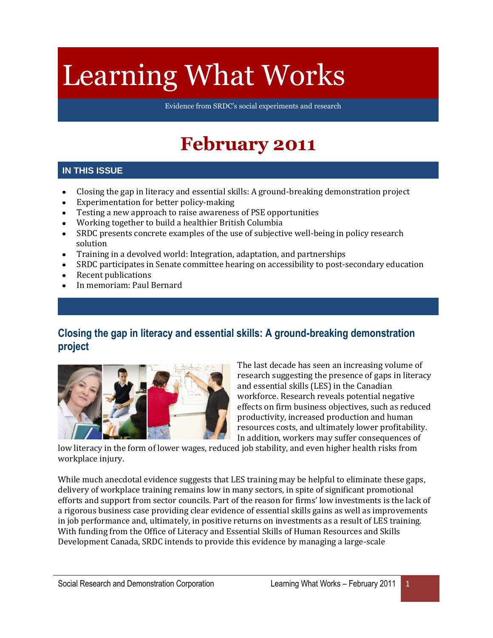# Learning What Works

Evidence from SRDC's social experiments and research

# **February 2011**

### **IN THIS ISSUE**

- Closing the gap in literacy and essential skills: A ground-breaking demonstration project  $\bullet$
- Experimentation for better policy-making  $\bullet$
- Testing a new approach to raise awareness of PSE opportunities  $\bullet$
- Working together to build a healthier British Columbia  $\bullet$
- SRDC presents concrete examples of the use of subjective well-being in policy research  $\bullet$ solution
- Training in a devolved world: Integration, adaptation, and partnerships  $\bullet$
- SRDC participates in Senate committee hearing on accessibility to post-secondary education  $\bullet$
- Recent publications
- In memoriam: Paul Bernard  $\bullet$

# **Closing the gap in literacy and essential skills: A ground-breaking demonstration project**



The last decade has seen an increasing volume of research suggesting the presence of gaps in literacy and essential skills (LES) in the Canadian workforce. Research reveals potential negative effects on firm business objectives, such as reduced productivity, increased production and human resources costs, and ultimately lower profitability. In addition, workers may suffer consequences of

low literacy in the form of lower wages, reduced job stability, and even higher health risks from workplace injury.

While much anecdotal evidence suggests that LES training may be helpful to eliminate these gaps, delivery of workplace training remains low in many sectors, in spite of significant promotional efforts and support from sector councils. Part of the reason for firms' low investments is the lack of a rigorous business case providing clear evidence of essential skills gains as well as improvements in job performance and, ultimately, in positive returns on investments as a result of LES training. With funding from the Office of Literacy and Essential Skills of Human Resources and Skills Development Canada, SRDC intends to provide this evidence by managing a large-scale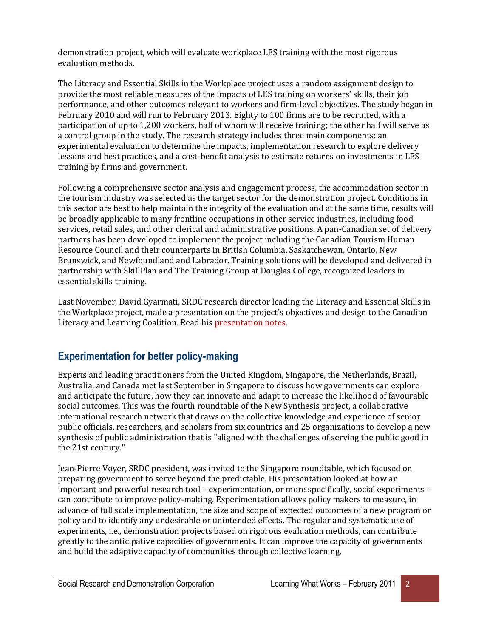demonstration project, which will evaluate workplace LES training with the most rigorous evaluation methods.

The Literacy and Essential Skills in the Workplace project uses a random assignment design to provide the most reliable measures of the impacts of LES training on workers' skills, their job performance, and other outcomes relevant to workers and firm-level objectives. The study began in February 2010 and will run to February 2013. Eighty to 100 firms are to be recruited, with a participation of up to 1,200 workers, half of whom will receive training; the other half will serve as a control group in the study. The research strategy includes three main components: an experimental evaluation to determine the impacts, implementation research to explore delivery lessons and best practices, and a cost-benefit analysis to estimate returns on investments in LES training by firms and government.

Following a comprehensive sector analysis and engagement process, the accommodation sector in the tourism industry was selected as the target sector for the demonstration project. Conditions in this sector are best to help maintain the integrity of the evaluation and at the same time, results will be broadly applicable to many frontline occupations in other service industries, including food services, retail sales, and other clerical and administrative positions. A pan-Canadian set of delivery partners has been developed to implement the project including the Canadian Tourism Human Resource Council and their counterparts in British Columbia, Saskatchewan, Ontario, New Brunswick, and Newfoundland and Labrador. Training solutions will be developed and delivered in partnership with SkillPlan and The Training Group at Douglas College, recognized leaders in essential skills training.

Last November, David Gyarmati, SRDC research director leading the Literacy and Essential Skills in the Workplace project, made a presentation on the project's objectives and design to the Canadian Literacy and Learning Coalition. Read hi[s presentation notes.](http://www.srdc.org/uploads/DGyarmati_2010_LES.pdf)

# **Experimentation for better policy-making**

Experts and leading practitioners from the United Kingdom, Singapore, the Netherlands, Brazil, Australia, and Canada met last September in Singapore to discuss how governments can explore and anticipate the future, how they can innovate and adapt to increase the likelihood of favourable social outcomes. This was the fourth roundtable of the New Synthesis project, a collaborative international research network that draws on the collective knowledge and experience of senior public officials, researchers, and scholars from six countries and 25 organizations to develop a new synthesis of public administration that is "aligned with the challenges of serving the public good in the 21st century."

Jean-Pierre Voyer, SRDC president, was invited to the Singapore roundtable, which focused on preparing government to serve beyond the predictable. His presentation looked at how an important and powerful research tool – experimentation, or more specifically, social experiments – can contribute to improve policy-making. Experimentation allows policy makers to measure, in advance of full scale implementation, the size and scope of expected outcomes of a new program or policy and to identify any undesirable or unintended effects. The regular and systematic use of experiments, i.e., demonstration projects based on rigorous evaluation methods, can contribute greatly to the anticipative capacities of governments. It can improve the capacity of governments and build the adaptive capacity of communities through collective learning.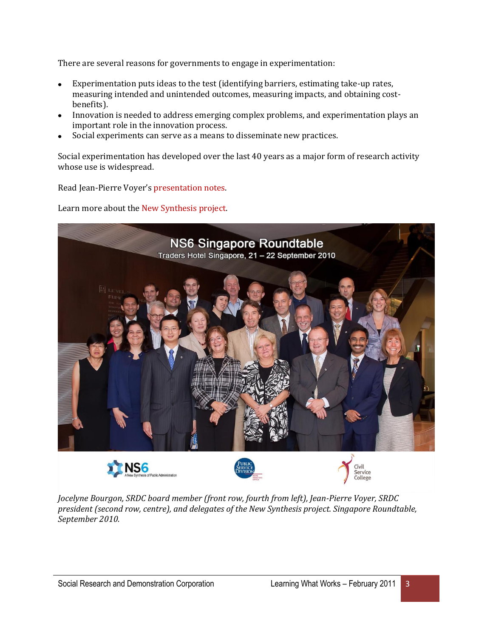There are several reasons for governments to engage in experimentation:

- Experimentation puts ideas to the test (identifying barriers, estimating take-up rates, measuring intended and unintended outcomes, measuring impacts, and obtaining costbenefits).
- Innovation is needed to address emerging complex problems, and experimentation plays an  $\bullet$ important role in the innovation process.
- Social experiments can serve as a means to disseminate new practices.

Social experimentation has developed over the last 40 years as a major form of research activity whose use is widespread.

Read Jean-Pierre Voyer's [presentation notes.](http://www.srdc.org/uploads/JPVoyer_2010SynthesisProject.pdf) 

Learn more about the [New Synthesis project.](http://www.ns6newsynthesis.com/)



*Jocelyne Bourgon, SRDC board member (front row, fourth from left), Jean-Pierre Voyer, SRDC president (second row, centre), and delegates of the New Synthesis project. Singapore Roundtable, September 2010.*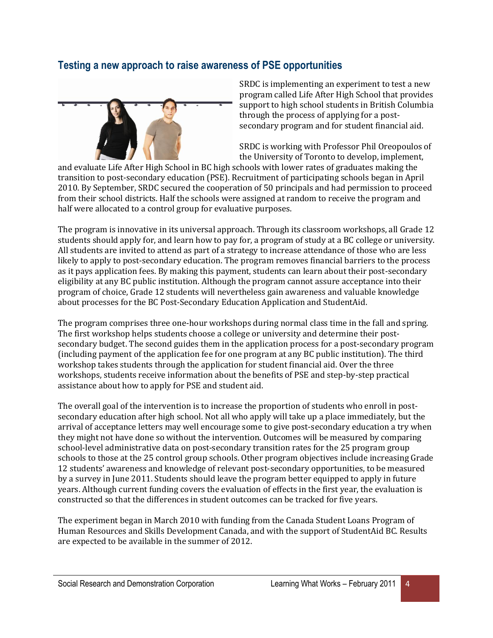# **Testing a new approach to raise awareness of PSE opportunities**



SRDC is implementing an experiment to test a new program called Life After High School that provides support to high school students in British Columbia through the process of applying for a postsecondary program and for student financial aid.

SRDC is working with Professor Phil Oreopoulos of the University of Toronto to develop, implement,

and evaluate Life After High School in BC high schools with lower rates of graduates making the transition to post-secondary education (PSE). Recruitment of participating schools began in April 2010. By September, SRDC secured the cooperation of 50 principals and had permission to proceed from their school districts. Half the schools were assigned at random to receive the program and half were allocated to a control group for evaluative purposes.

The program is innovative in its universal approach. Through its classroom workshops, all Grade 12 students should apply for, and learn how to pay for, a program of study at a BC college or university. All students are invited to attend as part of a strategy to increase attendance of those who are less likely to apply to post-secondary education. The program removes financial barriers to the process as it pays application fees. By making this payment, students can learn about their post-secondary eligibility at any BC public institution. Although the program cannot assure acceptance into their program of choice, Grade 12 students will nevertheless gain awareness and valuable knowledge about processes for the BC Post-Secondary Education Application and StudentAid.

The program comprises three one-hour workshops during normal class time in the fall and spring. The first workshop helps students choose a college or university and determine their postsecondary budget. The second guides them in the application process for a post-secondary program (including payment of the application fee for one program at any BC public institution). The third workshop takes students through the application for student financial aid. Over the three workshops, students receive information about the benefits of PSE and step-by-step practical assistance about how to apply for PSE and student aid.

The overall goal of the intervention is to increase the proportion of students who enroll in postsecondary education after high school. Not all who apply will take up a place immediately, but the arrival of acceptance letters may well encourage some to give post-secondary education a try when they might not have done so without the intervention. Outcomes will be measured by comparing school-level administrative data on post-secondary transition rates for the 25 program group schools to those at the 25 control group schools. Other program objectives include increasing Grade 12 students' awareness and knowledge of relevant post-secondary opportunities, to be measured by a survey in June 2011. Students should leave the program better equipped to apply in future years. Although current funding covers the evaluation of effects in the first year, the evaluation is constructed so that the differences in student outcomes can be tracked for five years.

The experiment began in March 2010 with funding from the Canada Student Loans Program of Human Resources and Skills Development Canada, and with the support of StudentAid BC. Results are expected to be available in the summer of 2012.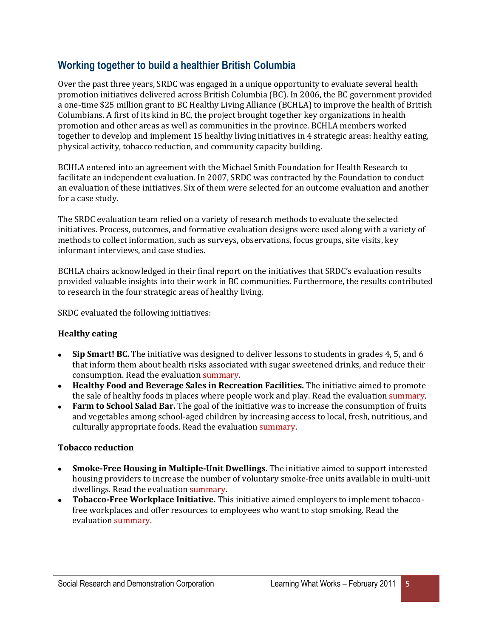# **Working together to build a healthier British Columbia**

Over the past three years, SRDC was engaged in a unique opportunity to evaluate several health promotion initiatives delivered across British Columbia (BC). In 2006, the BC government provided a one-time \$25 million grant to BC Healthy Living Alliance (BCHLA) to improve the health of British Columbians. A first of its kind in BC, the project brought together key organizations in health promotion and other areas as well as communities in the province. BCHLA members worked together to develop and implement 15 healthy living initiatives in 4 strategic areas: healthy eating, physical activity, tobacco reduction, and community capacity building.

BCHLA entered into an agreement with the Michael Smith Foundation for Health Research to facilitate an independent evaluation. In 2007, SRDC was contracted by the Foundation to conduct an evaluation of these initiatives. Six of them were selected for an outcome evaluation and another for a case study.

The SRDC evaluation team relied on a variety of research methods to evaluate the selected initiatives. Process, outcomes, and formative evaluation designs were used along with a variety of methods to collect information, such as surveys, observations, focus groups, site visits, key informant interviews, and case studies.

BCHLA chairs acknowledged in their final report on the initiatives that SRDC's evaluation results provided valuable insights into their work in BC communities. Furthermore, the results contributed to research in the four strategic areas of healthy living.

SRDC evaluated the following initiatives:

#### **Healthy eating**

- **Sip Smart! BC.** The initiative was designed to deliver lessons to students in grades 4, 5, and 6 that inform them about health risks associated with sugar sweetened drinks, and reduce their consumption. Read the evaluation [summary.](http://www.srdc.org/uploads/BCHLA_SipSmart.pdf)
- **Healthy Food and Beverage Sales in Recreation Facilities.** The initiative aimed to promote the sale of healthy foods in places where people work and play. Read the evaluation [summary.](http://www.srdc.org/uploads/BCHLA_HealthyFood.pdf)
- **Farm to School Salad Bar.** The goal of the initiative was to increase the consumption of fruits and vegetables among school-aged children by increasing access to local, fresh, nutritious, and culturally appropriate foods. Read the evaluation [summary.](http://www.srdc.org/uploads/BCHLA_SaladBar.pdf)

#### **Tobacco reduction**

- $\bullet$ **Smoke-Free Housing in Multiple-Unit Dwellings.** The initiative aimed to support interested housing providers to increase the number of voluntary smoke-free units available in multi-unit dwellings. Read the evaluatio[n summary.](http://www.srdc.org/uploads/BCHLA_SmokeFree.pdf)
- **Tobacco-Free Workplace Initiative.** This initiative aimed employers to implement tobaccofree workplaces and offer resources to employees who want to stop smoking. Read the evaluation [summary.](http://www.srdc.org/uploads/BCHLA_TobaccoFree.pdf)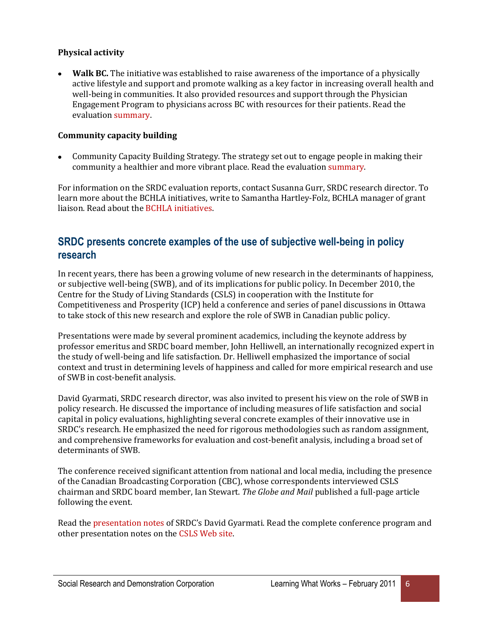#### **Physical activity**

**Walk BC.** The initiative was established to raise awareness of the importance of a physically active lifestyle and support and promote walking as a key factor in increasing overall health and well-being in communities. It also provided resources and support through the Physician Engagement Program to physicians across BC with resources for their patients. Read the evaluation [summary.](http://www.srdc.org/uploads/BCHLA_WalkBC.pdf) 

#### **Community capacity building**

Community Capacity Building Strategy. The strategy set out to engage people in making their community a healthier and more vibrant place. Read the evaluation [summary.](http://www.srdc.org/uploads/BCHLA_Community.pdf) 

For information on the SRDC evaluation reports, contact Susanna Gurr, SRDC research director. To learn more about the BCHLA initiatives, write to Samantha Hartley-Folz, BCHLA manager of grant liaison. Read about the [BCHLA initiatives.](http://www.bchealthyliving.ca/)

# **SRDC presents concrete examples of the use of subjective well-being in policy research**

In recent years, there has been a growing volume of new research in the determinants of happiness, or subjective well-being (SWB), and of its implications for public policy. In December 2010, the Centre for the Study of Living Standards (CSLS) in cooperation with the Institute for Competitiveness and Prosperity (ICP) held a conference and series of panel discussions in Ottawa to take stock of this new research and explore the role of SWB in Canadian public policy.

Presentations were made by several prominent academics, including the keynote address by professor emeritus and SRDC board member, John Helliwell, an internationally recognized expert in the study of well-being and life satisfaction. Dr. Helliwell emphasized the importance of social context and trust in determining levels of happiness and called for more empirical research and use of SWB in cost-benefit analysis.

David Gyarmati, SRDC research director, was also invited to present his view on the role of SWB in policy research. He discussed the importance of including measures of life satisfaction and social capital in policy evaluations, highlighting several concrete examples of their innovative use in SRDC's research. He emphasized the need for rigorous methodologies such as random assignment, and comprehensive frameworks for evaluation and cost-benefit analysis, including a broad set of determinants of SWB.

The conference received significant attention from national and local media, including the presence of the Canadian Broadcasting Corporation (CBC), whose correspondents interviewed CSLS chairman and SRDC board member, Ian Stewart. *The Globe and Mail* published a full-page article following the event.

Read the [presentation notes](http://www.srdc.org/uploads/DGyarmati_2010_CSLS_ISP.pdf) of SRDC's David Gyarmati. Read the complete conference program and other presentation notes on th[e CSLS Web site.](http://www.csls.ca/events/happinessconference.asp)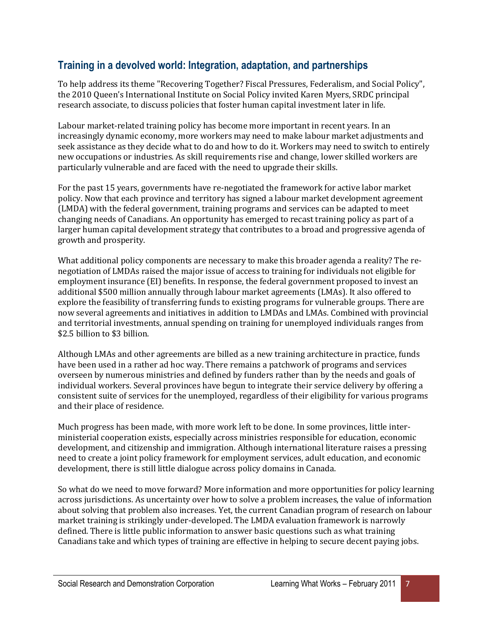# **Training in a devolved world: Integration, adaptation, and partnerships**

To help address its theme "Recovering Together? Fiscal Pressures, Federalism, and Social Policy", the 2010 Queen's International Institute on Social Policy invited Karen Myers, SRDC principal research associate, to discuss policies that foster human capital investment later in life.

Labour market-related training policy has become more important in recent years. In an increasingly dynamic economy, more workers may need to make labour market adjustments and seek assistance as they decide what to do and how to do it. Workers may need to switch to entirely new occupations or industries. As skill requirements rise and change, lower skilled workers are particularly vulnerable and are faced with the need to upgrade their skills.

For the past 15 years, governments have re-negotiated the framework for active labor market policy. Now that each province and territory has signed a labour market development agreement (LMDA) with the federal government, training programs and services can be adapted to meet changing needs of Canadians. An opportunity has emerged to recast training policy as part of a larger human capital development strategy that contributes to a broad and progressive agenda of growth and prosperity.

What additional policy components are necessary to make this broader agenda a reality? The renegotiation of LMDAs raised the major issue of access to training for individuals not eligible for employment insurance (EI) benefits. In response, the federal government proposed to invest an additional \$500 million annually through labour market agreements (LMAs). It also offered to explore the feasibility of transferring funds to existing programs for vulnerable groups. There are now several agreements and initiatives in addition to LMDAs and LMAs. Combined with provincial and territorial investments, annual spending on training for unemployed individuals ranges from \$2.5 billion to \$3 billion.

Although LMAs and other agreements are billed as a new training architecture in practice, funds have been used in a rather ad hoc way. There remains a patchwork of programs and services overseen by numerous ministries and defined by funders rather than by the needs and goals of individual workers. Several provinces have begun to integrate their service delivery by offering a consistent suite of services for the unemployed, regardless of their eligibility for various programs and their place of residence.

Much progress has been made, with more work left to be done. In some provinces, little interministerial cooperation exists, especially across ministries responsible for education, economic development, and citizenship and immigration. Although international literature raises a pressing need to create a joint policy framework for employment services, adult education, and economic development, there is still little dialogue across policy domains in Canada.

So what do we need to move forward? More information and more opportunities for policy learning across jurisdictions. As uncertainty over how to solve a problem increases, the value of information about solving that problem also increases. Yet, the current Canadian program of research on labour market training is strikingly under-developed. The LMDA evaluation framework is narrowly defined. There is little public information to answer basic questions such as what training Canadians take and which types of training are effective in helping to secure decent paying jobs.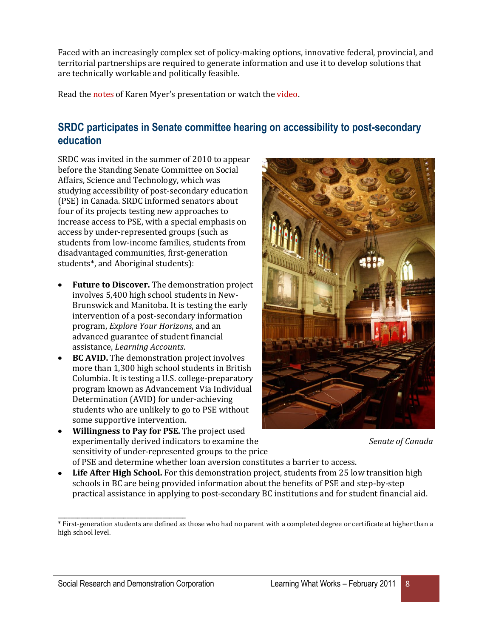Faced with an increasingly complex set of policy-making options, innovative federal, provincial, and territorial partnerships are required to generate information and use it to develop solutions that are technically workable and politically feasible.

Read th[e notes](http://www.srdc.org/uploads/KMyers_2010QUIISP.pdf) of Karen Myer's presentation or watch the [video.](http://www.queensu.ca/sps/events/qiisp/2010/Karen_Myers_video.php)

# **SRDC participates in Senate committee hearing on accessibility to post-secondary education**

SRDC was invited in the summer of 2010 to appear before the Standing Senate Committee on Social Affairs, Science and Technology, which was studying accessibility of post-secondary education (PSE) in Canada. SRDC informed senators about four of its projects testing new approaches to increase access to PSE, with a special emphasis on access by under-represented groups (such as students from low-income families, students from disadvantaged communities, first-generation students\*, and Aboriginal students):

- **Future to Discover.** The demonstration project involves 5,400 high school students in New-Brunswick and Manitoba. It is testing the early intervention of a post-secondary information program, *Explore Your Horizons*, and an advanced guarantee of student financial assistance, *Learning Accounts*.
- **BC AVID.** The demonstration project involves more than 1,300 high school students in British Columbia. It is testing a U.S. college-preparatory program known as Advancement Via Individual Determination (AVID) for under-achieving students who are unlikely to go to PSE without some supportive intervention.
- **Willingness to Pay for PSE.** The project used experimentally derived indicators to examine the *Senate of Canada* sensitivity of under-represented groups to the price



- of PSE and determine whether loan aversion constitutes a barrier to access.
- Life After High School. For this demonstration project, students from 25 low transition high schools in BC are being provided information about the benefits of PSE and step-by-step practical assistance in applying to post-secondary BC institutions and for student financial aid.

\_\_\_\_\_\_\_\_\_\_\_\_\_\_\_\_\_\_\_\_\_\_\_\_\_\_\_\_\_\_\_\_\_\_\_\_\_\_\_

<sup>\*</sup> First-generation students are defined as those who had no parent with a completed degree or certificate at higher than a high school level.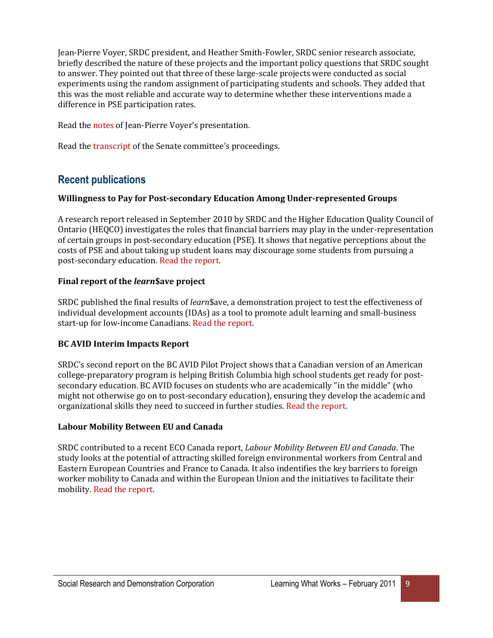Jean-Pierre Voyer, SRDC president, and Heather Smith-Fowler, SRDC senior research associate, briefly described the nature of these projects and the important policy questions that SRDC sought to answer. They pointed out that three of these large-scale projects were conducted as social experiments using the random assignment of participating students and schools. They added that this was the most reliable and accurate way to determine whether these interventions made a difference in PSE participation rates.

Read th[e notes](http://www.srdc.org/uploads/Senate_2010_JPVoyer_EN.pdf) of Jean-Pierre Voyer's presentation.

Read th[e transcript](http://www.parl.gc.ca/40/3/parlbus/commbus/senate/Com-e/soci-e/09cv-e.htm?Language=E&Parl=40&Ses=3&comm_id=47) of the Senate committee's proceedings.

# **Recent publications**

#### **Willingness to Pay for Post-secondary Education Among Under-represented Groups**

A research report released in September 2010 by SRDC and the Higher Education Quality Council of Ontario (HEQCO) investigates the roles that financial barriers may play in the under-representation of certain groups in post-secondary education (PSE). It shows that negative perceptions about the costs of PSE and about taking up student loans may discourage some students from pursuing a post-secondary education. [Read the report.](http://www.srdc.org/en_publication_details.asp?id=244)

#### **Final report of the** *learn***\$ave project**

SRDC published the final results of *learn*\$ave, a demonstration project to test the effectiveness of individual development accounts (IDAs) as a tool to promote adult learning and small-business start-up for low-income Canadians[. Read the report.](http://www.srdc.org/en_publication_details.asp?id=246) 

#### **BC AVID Interim Impacts Report**

SRDC's second report on the BC AVID Pilot Project shows that a Canadian version of an American college-preparatory program is helping British Columbia high school students get ready for postsecondary education. BC AVID focuses on students who are academically "in the middle" (who might not otherwise go on to post-secondary education), ensuring they develop the academic and organizational skills they need to succeed in further studies. [Read the](http://www.srdc.org/en_publication_details.asp?id=248) report.

#### **Labour Mobility Between EU and Canada**

SRDC contributed to a recent ECO Canada report, *Labour Mobility Between EU and Canada*. The study looks at the potential of attracting skilled foreign environmental workers from Central and Eastern European Countries and France to Canada. It also indentifies the key barriers to foreign worker mobility to Canada and within the European Union and the initiatives to facilitate their mobility. [Read the report.](http://www.eco.ca/pdf/labour_mobility_report_2010.pdf)